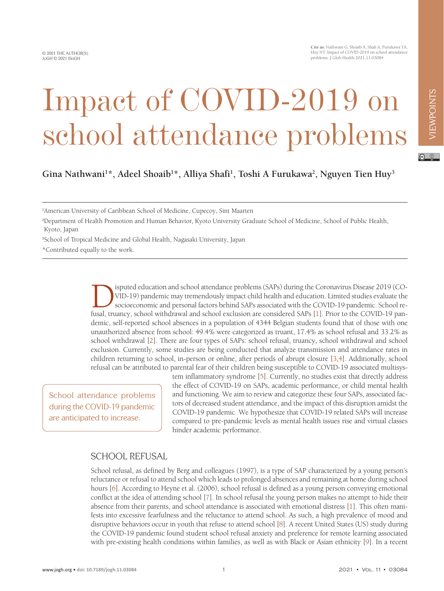**Cite as:** Nathwani G, Shoaib A, Shafi A, Furukawa TA, Huy NT. Impact of COVID-2019 on school attendance problems. J Glob Health 2021;11:03084.

# Impact of COVID-2019 on school attendance problems

VIEWPOINTS

VIEWPOINTS

**Gina Nathwani1 \*, Adeel Shoaib1 \*, Alliya Shafi1 , Toshi A Furukawa2 , Nguyen Tien Huy3**

1 American University of Caribbean School of Medicine, Cupecoy, Sint Maarten

2 Department of Health Promotion and Human Behavior, Kyoto University Graduate School of Medicine, School of Public Health, Kyoto, Japan

3 School of Tropical Medicine and Global Health, Nagasaki University, Japan

\*Contributed equally to the work.

ISDUE ISDUE END FOR SOLUTION ISDUE ISDUE TO SOLUTION ISDUE TO SOCIOECOND-19 pandemic may tremendously impact child health and education. Limited studies evaluate the socioeconomic and personal factors behind SAPs associate VID-19) pandemic may tremendously impact child health and education. Limited studies evaluate the socioeconomic and personal factors behind SAPs associated with the COVID-19 pandemic. School refusal, truancy, school withdrawal and school exclusion are considered SAPs [\[1](#page-3-0)]. Prior to the COVID-19 pandemic, self-reported school absences in a population of 4344 Belgian students found that of those with one unauthorized absence from school: 49.4% were categorized as truant, 17.4% as school refusal and 33.2% as school withdrawal [[2\]](#page-3-1). There are four types of SAPs: school refusal, truancy, school withdrawal and school exclusion. Currently, some studies are being conducted that analyze transmission and attendance rates in children returning to school, in-person or online, after periods of abrupt closure [[3,](#page-3-2)[4](#page-3-3)]. Additionally, school refusal can be attributed to parental fear of their children being susceptible to COVID-19 associated multisys-

School attendance problems during the COVID-19 pandemic are anticipated to increase.

tem inflammatory syndrome [[5\]](#page-3-4). Currently, no studies exist that directly address the effect of COVID-19 on SAPs, academic performance, or child mental health and functioning. We aim to review and categorize these four SAPs, associated factors of decreased student attendance, and the impact of this disruption amidst the COVID-19 pandemic. We hypothesize that COVID-19 related SAPs will increase compared to pre-pandemic levels as mental health issues rise and virtual classes hinder academic performance.

#### SCHOOL REFUSAL

School refusal, as defined by Berg and colleagues (1997), is a type of SAP characterized by a young person's reluctance or refusal to attend school which leads to prolonged absences and remaining at home during school hours [\[6](#page-3-5)]. According to Heyne et al. (2006), school refusal is defined as a young person conveying emotional conflict at the idea of attending school [\[7](#page-3-6)]. In school refusal the young person makes no attempt to hide their absence from their parents, and school attendance is associated with emotional distress [[1\]](#page-3-0). This often manifests into excessive fearfulness and the reluctance to attend school. As such, a high prevalence of mood and disruptive behaviors occur in youth that refuse to attend school [[8\]](#page-3-7). A recent United States (US) study during the COVID-19 pandemic found student school refusal anxiety and preference for remote learning associated with pre-existing health conditions within families, as well as with Black or Asian ethnicity [\[9](#page-3-8)]. In a recent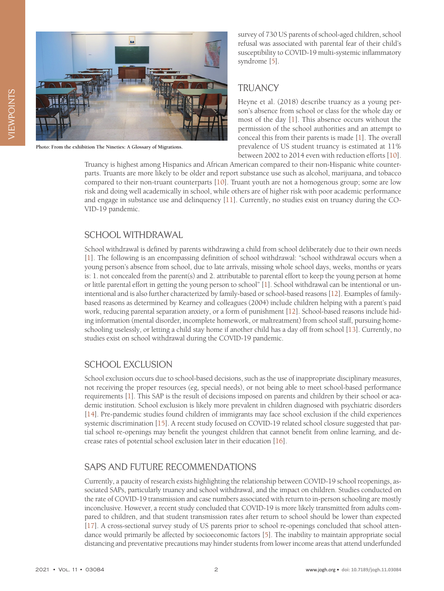

**Photo: From the exhibition [The Nineties: A Glossary of Migrations](https://unsplash.com/photos/PDRFeeDniCk).**

survey of 730 US parents of school-aged children, school refusal was associated with parental fear of their child's susceptibility to COVID-19 multi-systemic inflammatory syndrome [\[5](#page-3-4)].

### **TRUANCY**

Heyne et al. (2018) describe truancy as a young person's absence from school or class for the whole day or most of the day [[1\]](#page-3-0). This absence occurs without the permission of the school authorities and an attempt to conceal this from their parents is made [\[1](#page-3-0)]. The overall prevalence of US student truancy is estimated at 11% between 2002 to 2014 even with reduction efforts [\[10\]](#page-3-9).

Truancy is highest among Hispanics and African American compared to their non-Hispanic white counterparts. Truants are more likely to be older and report substance use such as alcohol, marijuana, and tobacco compared to their non-truant counterparts [[10\]](#page-3-9). Truant youth are not a homogenous group; some are low risk and doing well academically in school, while others are of higher risk with poor academic performance and engage in substance use and delinquency [[11](#page-3-10)]. Currently, no studies exist on truancy during the CO-VID-19 pandemic.

#### SCHOOL WITHDRAWAL

School withdrawal is defined by parents withdrawing a child from school deliberately due to their own needs [[1\]](#page-3-0). The following is an encompassing definition of school withdrawal: "school withdrawal occurs when a young person's absence from school, due to late arrivals, missing whole school days, weeks, months or years is: 1. not concealed from the parent(s) and 2. attributable to parental effort to keep the young person at home or little parental effort in getting the young person to school" [\[1](#page-3-0)]. School withdrawal can be intentional or unintentional and is also further characterized by family-based or school-based reasons [[12\]](#page-3-11). Examples of familybased reasons as determined by Kearney and colleagues (2004) include children helping with a parent's paid work, reducing parental separation anxiety, or a form of punishment [[12\]](#page-3-11). School-based reasons include hiding information (mental disorder, incomplete homework, or maltreatment) from school staff, pursuing homeschooling uselessly, or letting a child stay home if another child has a day off from school [\[13](#page-3-12)]. Currently, no studies exist on school withdrawal during the COVID-19 pandemic.

# SCHOOL EXCLUSION

School exclusion occurs due to school-based decisions, such as the use of inappropriate disciplinary measures, not receiving the proper resources (eg, special needs), or not being able to meet school-based performance requirements [\[1](#page-3-0)]. This SAP is the result of decisions imposed on parents and children by their school or academic institution. School exclusion is likely more prevalent in children diagnosed with psychiatric disorders [[14\]](#page-3-13). Pre-pandemic studies found children of immigrants may face school exclusion if the child experiences systemic discrimination [\[15](#page-3-14)]. A recent study focused on COVID-19 related school closure suggested that partial school re-openings may benefit the youngest children that cannot benefit from online learning, and decrease rates of potential school exclusion later in their education [\[16\]](#page-3-15).

# SAPS AND FUTURE RECOMMENDATIONS

Currently, a paucity of research exists highlighting the relationship between COVID-19 school reopenings, associated SAPs, particularly truancy and school withdrawal, and the impact on children. Studies conducted on the rate of COVID-19 transmission and case numbers associated with return to in-person schooling are mostly inconclusive. However, a recent study concluded that COVID-19 is more likely transmitted from adults compared to children, and that student transmission rates after return to school should be lower than expected [[17\]](#page-3-16). A cross-sectional survey study of US parents prior to school re-openings concluded that school attendance would primarily be affected by socioeconomic factors [\[5](#page-3-4)]. The inability to maintain appropriate social distancing and preventative precautions may hinder students from lower income areas that attend underfunded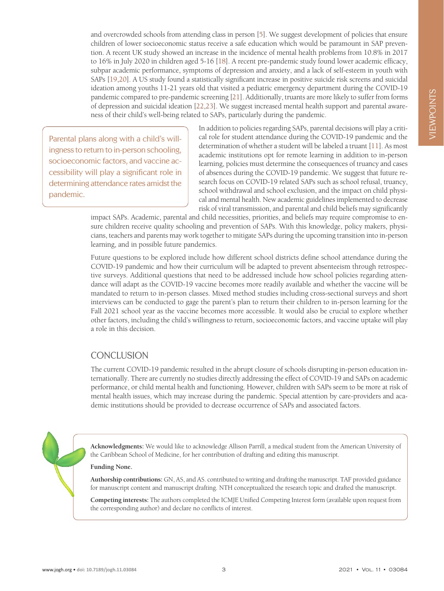and overcrowded schools from attending class in person [[5\]](#page-3-4). We suggest development of policies that ensure children of lower socioeconomic status receive a safe education which would be paramount in SAP prevention. A recent UK study showed an increase in the incidence of mental health problems from 10.8% in 2017 to 16% in July 2020 in children aged 5-16 [[18\]](#page-3-17). A recent pre-pandemic study found lower academic efficacy, subpar academic performance, symptoms of depression and anxiety, and a lack of self-esteem in youth with SAPs [\[19](#page-3-18),[20\]](#page-3-19). A US study found a statistically significant increase in positive suicide risk screens and suicidal ideation among youths 11-21 years old that visited a pediatric emergency department during the COVID-19 pandemic compared to pre-pandemic screening [\[21\]](#page-3-20). Additionally, truants are more likely to suffer from forms of depression and suicidal ideation [\[22,](#page-3-21)[23](#page-3-22)]. We suggest increased mental health support and parental awareness of their child's well-being related to SAPs, particularly during the pandemic.

Parental plans along with a child's willingness to return to in-person schooling, socioeconomic factors, and vaccine accessibility will play a significant role in determining attendance rates amidst the pandemic.

In addition to policies regarding SAPs, parental decisions will play a critical role for student attendance during the COVID-19 pandemic and the determination of whether a student will be labeled a truant [\[11](#page-3-10)]. As most academic institutions opt for remote learning in addition to in-person learning, policies must determine the consequences of truancy and cases of absences during the COVID-19 pandemic. We suggest that future research focus on COVID-19 related SAPs such as school refusal, truancy, school withdrawal and school exclusion, and the impact on child physical and mental health. New academic guidelines implemented to decrease risk of viral transmission, and parental and child beliefs may significantly

impact SAPs. Academic, parental and child necessities, priorities, and beliefs may require compromise to ensure children receive quality schooling and prevention of SAPs. With this knowledge, policy makers, physicians, teachers and parents may work together to mitigate SAPs during the upcoming transition into in-person learning, and in possible future pandemics.

Future questions to be explored include how different school districts define school attendance during the COVID-19 pandemic and how their curriculum will be adapted to prevent absenteeism through retrospective surveys. Additional questions that need to be addressed include how school policies regarding attendance will adapt as the COVID-19 vaccine becomes more readily available and whether the vaccine will be mandated to return to in-person classes. Mixed method studies including cross-sectional surveys and short interviews can be conducted to gage the parent's plan to return their children to in-person learning for the Fall 2021 school year as the vaccine becomes more accessible. It would also be crucial to explore whether other factors, including the child's willingness to return, socioeconomic factors, and vaccine uptake will play a role in this decision.

# **CONCLUSION**

The current COVID-19 pandemic resulted in the abrupt closure of schools disrupting in-person education internationally. There are currently no studies directly addressing the effect of COVID-19 and SAPs on academic performance, or child mental health and functioning. However, children with SAPs seem to be more at risk of mental health issues, which may increase during the pandemic. Special attention by care-providers and academic institutions should be provided to decrease occurrence of SAPs and associated factors.

**Acknowledgments:** We would like to acknowledge Allison Parrill, a medical student from the American University of the Caribbean School of Medicine, for her contribution of drafting and editing this manuscript.

#### **Funding None.**

**Authorship contributions:** GN, AS, and AS. contributed to writing and drafting the manuscript. TAF provided guidance for manuscript content and manuscript drafting. NTH conceptualized the research topic and drafted the manuscript.

**Competing interests:** The authors completed the ICMJE Unified Competing Interest form (available upon request from the corresponding author) and declare no conflicts of interest.